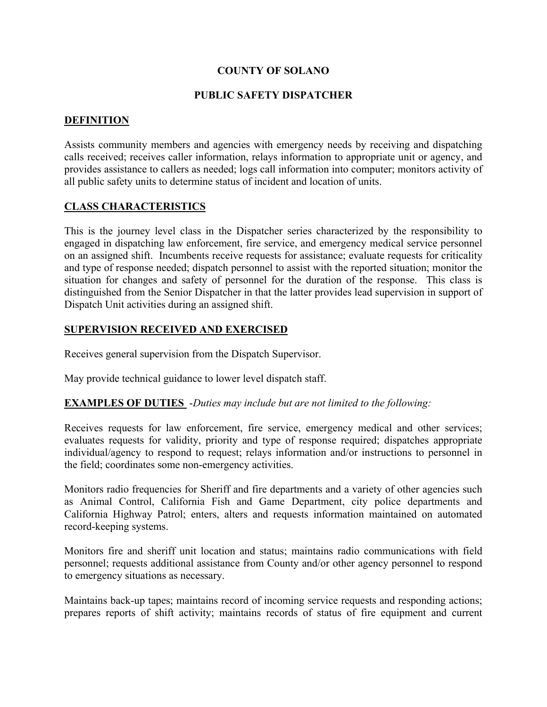# **COUNTY OF SOLANO**

### **PUBLIC SAFETY DISPATCHER**

### **DEFINITION**

Assists community members and agencies with emergency needs by receiving and dispatching calls received; receives caller information, relays information to appropriate unit or agency, and provides assistance to callers as needed; logs call information into computer; monitors activity of all public safety units to determine status of incident and location of units.

### **CLASS CHARACTERISTICS**

This is the journey level class in the Dispatcher series characterized by the responsibility to engaged in dispatching law enforcement, fire service, and emergency medical service personnel on an assigned shift. Incumbents receive requests for assistance; evaluate requests for criticality and type of response needed; dispatch personnel to assist with the reported situation; monitor the situation for changes and safety of personnel for the duration of the response. This class is distinguished from the Senior Dispatcher in that the latter provides lead supervision in support of Dispatch Unit activities during an assigned shift.

#### **SUPERVISION RECEIVED AND EXERCISED**

Receives general supervision from the Dispatch Supervisor.

May provide technical guidance to lower level dispatch staff.

#### **EXAMPLES OF DUTIES** -*Duties may include but are not limited to the following:*

Receives requests for law enforcement, fire service, emergency medical and other services; evaluates requests for validity, priority and type of response required; dispatches appropriate individual/agency to respond to request; relays information and/or instructions to personnel in the field; coordinates some non-emergency activities.

Monitors radio frequencies for Sheriff and fire departments and a variety of other agencies such as Animal Control, California Fish and Game Department, city police departments and California Highway Patrol; enters, alters and requests information maintained on automated record-keeping systems.

Monitors fire and sheriff unit location and status; maintains radio communications with field personnel; requests additional assistance from County and/or other agency personnel to respond to emergency situations as necessary.

Maintains back-up tapes; maintains record of incoming service requests and responding actions; prepares reports of shift activity; maintains records of status of fire equipment and current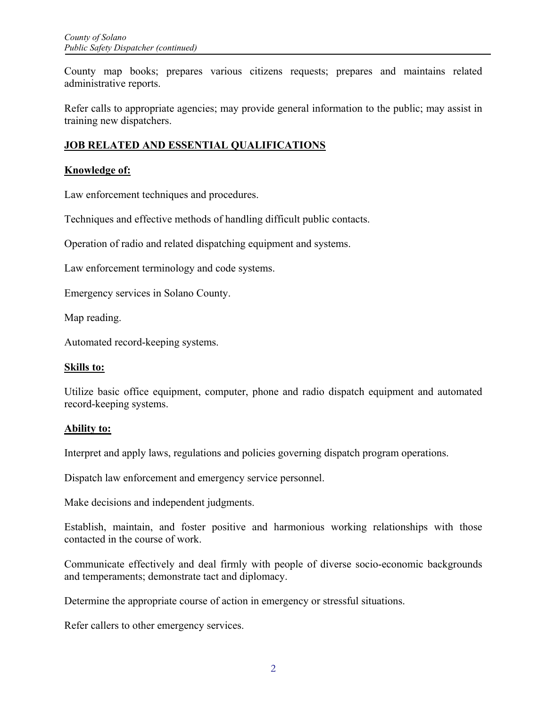County map books; prepares various citizens requests; prepares and maintains related administrative reports.

Refer calls to appropriate agencies; may provide general information to the public; may assist in training new dispatchers.

# **JOB RELATED AND ESSENTIAL QUALIFICATIONS**

## **Knowledge of:**

Law enforcement techniques and procedures.

Techniques and effective methods of handling difficult public contacts.

Operation of radio and related dispatching equipment and systems.

Law enforcement terminology and code systems.

Emergency services in Solano County.

Map reading.

Automated record-keeping systems.

#### **Skills to:**

Utilize basic office equipment, computer, phone and radio dispatch equipment and automated record-keeping systems.

#### **Ability to:**

Interpret and apply laws, regulations and policies governing dispatch program operations.

Dispatch law enforcement and emergency service personnel.

Make decisions and independent judgments.

Establish, maintain, and foster positive and harmonious working relationships with those contacted in the course of work.

Communicate effectively and deal firmly with people of diverse socio-economic backgrounds and temperaments; demonstrate tact and diplomacy.

Determine the appropriate course of action in emergency or stressful situations.

Refer callers to other emergency services.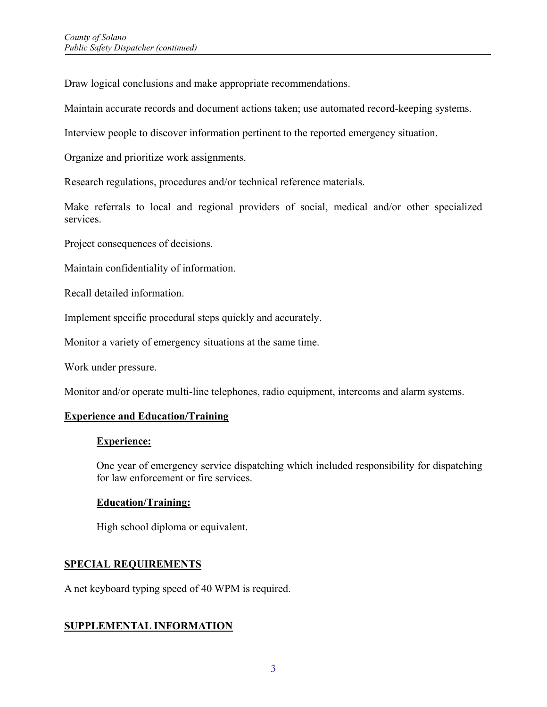Draw logical conclusions and make appropriate recommendations.

Maintain accurate records and document actions taken; use automated record-keeping systems.

Interview people to discover information pertinent to the reported emergency situation.

Organize and prioritize work assignments.

Research regulations, procedures and/or technical reference materials.

Make referrals to local and regional providers of social, medical and/or other specialized services.

Project consequences of decisions.

Maintain confidentiality of information.

Recall detailed information.

Implement specific procedural steps quickly and accurately.

Monitor a variety of emergency situations at the same time.

Work under pressure.

Monitor and/or operate multi-line telephones, radio equipment, intercoms and alarm systems.

#### **Experience and Education/Training**

#### **Experience:**

One year of emergency service dispatching which included responsibility for dispatching for law enforcement or fire services.

#### **Education/Training:**

High school diploma or equivalent.

#### **SPECIAL REQUIREMENTS**

A net keyboard typing speed of 40 WPM is required.

# **SUPPLEMENTAL INFORMATION**